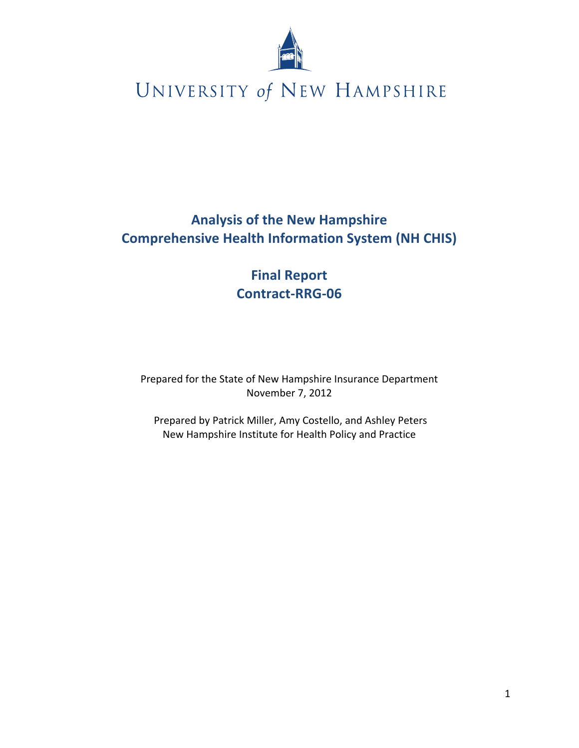

## **Analysis of the New Hampshire Comprehensive Health Information System (NH CHIS)**

## **Final Report Contract-RRG-06**

Prepared for the State of New Hampshire Insurance Department November 7, 2012

Prepared by Patrick Miller, Amy Costello, and Ashley Peters New Hampshire Institute for Health Policy and Practice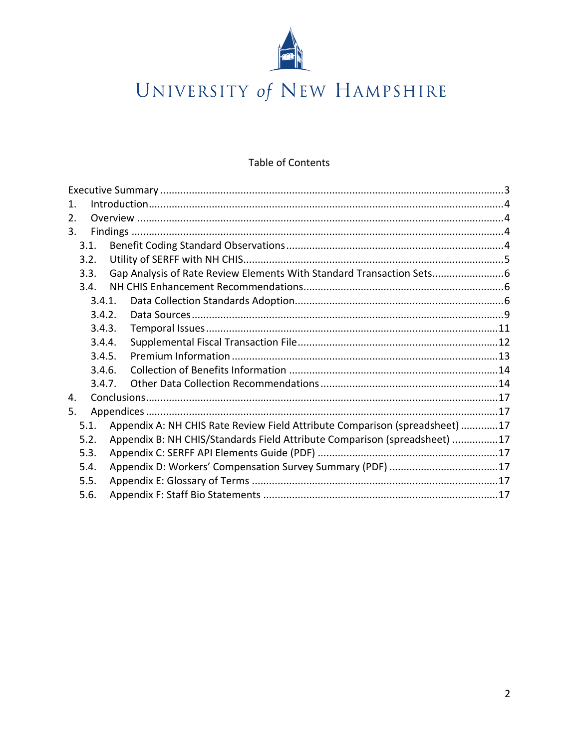

### Table of Contents

| 1.     |        |                                                           |                                                                             |  |  |  |
|--------|--------|-----------------------------------------------------------|-----------------------------------------------------------------------------|--|--|--|
| 2.     |        |                                                           |                                                                             |  |  |  |
| 3.     |        |                                                           |                                                                             |  |  |  |
|        | 3.1.   |                                                           |                                                                             |  |  |  |
|        | 3.2.   |                                                           |                                                                             |  |  |  |
|        | 3.3.   |                                                           | Gap Analysis of Rate Review Elements With Standard Transaction Sets         |  |  |  |
|        | 3.4.   |                                                           |                                                                             |  |  |  |
|        | 3.4.1. |                                                           |                                                                             |  |  |  |
|        | 3.4.2. |                                                           |                                                                             |  |  |  |
| 3.4.3. |        |                                                           |                                                                             |  |  |  |
|        | 3.4.4. |                                                           |                                                                             |  |  |  |
| 3.4.5. |        |                                                           |                                                                             |  |  |  |
|        | 3.4.6. |                                                           |                                                                             |  |  |  |
|        | 3.4.7. |                                                           |                                                                             |  |  |  |
| 4.     |        |                                                           |                                                                             |  |  |  |
| 5.     |        |                                                           |                                                                             |  |  |  |
|        | 5.1.   |                                                           | Appendix A: NH CHIS Rate Review Field Attribute Comparison (spreadsheet) 17 |  |  |  |
|        | 5.2.   |                                                           | Appendix B: NH CHIS/Standards Field Attribute Comparison (spreadsheet) 17   |  |  |  |
| 5.3.   |        |                                                           |                                                                             |  |  |  |
| 5.4.   |        | Appendix D: Workers' Compensation Survey Summary (PDF) 17 |                                                                             |  |  |  |
| 5.5.   |        |                                                           |                                                                             |  |  |  |
|        | 5.6.   |                                                           |                                                                             |  |  |  |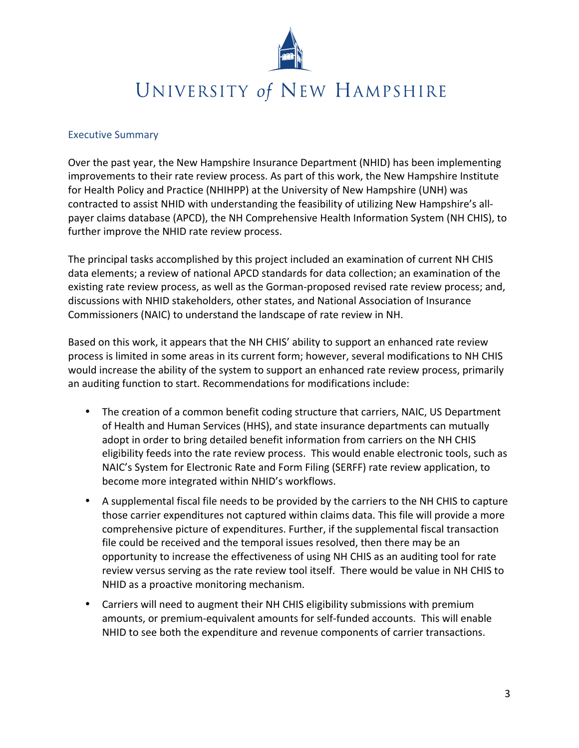

### **Executive Summary**

Over the past year, the New Hampshire Insurance Department (NHID) has been implementing improvements to their rate review process. As part of this work, the New Hampshire Institute for Health Policy and Practice (NHIHPP) at the University of New Hampshire (UNH) was contracted to assist NHID with understanding the feasibility of utilizing New Hampshire's allpayer claims database (APCD), the NH Comprehensive Health Information System (NH CHIS), to further improve the NHID rate review process.

The principal tasks accomplished by this project included an examination of current NH CHIS data elements; a review of national APCD standards for data collection; an examination of the existing rate review process, as well as the Gorman-proposed revised rate review process; and, discussions with NHID stakeholders, other states, and National Association of Insurance Commissioners (NAIC) to understand the landscape of rate review in NH.

Based on this work, it appears that the NH CHIS' ability to support an enhanced rate review process is limited in some areas in its current form; however, several modifications to NH CHIS would increase the ability of the system to support an enhanced rate review process, primarily an auditing function to start. Recommendations for modifications include:

- The creation of a common benefit coding structure that carriers, NAIC, US Department of Health and Human Services (HHS), and state insurance departments can mutually adopt in order to bring detailed benefit information from carriers on the NH CHIS eligibility feeds into the rate review process. This would enable electronic tools, such as NAIC's System for Electronic Rate and Form Filing (SERFF) rate review application, to become more integrated within NHID's workflows.
- A supplemental fiscal file needs to be provided by the carriers to the NH CHIS to capture those carrier expenditures not captured within claims data. This file will provide a more comprehensive picture of expenditures. Further, if the supplemental fiscal transaction file could be received and the temporal issues resolved, then there may be an opportunity to increase the effectiveness of using NH CHIS as an auditing tool for rate review versus serving as the rate review tool itself. There would be value in NH CHIS to NHID as a proactive monitoring mechanism.
- Carriers will need to augment their NH CHIS eligibility submissions with premium amounts, or premium-equivalent amounts for self-funded accounts. This will enable NHID to see both the expenditure and revenue components of carrier transactions.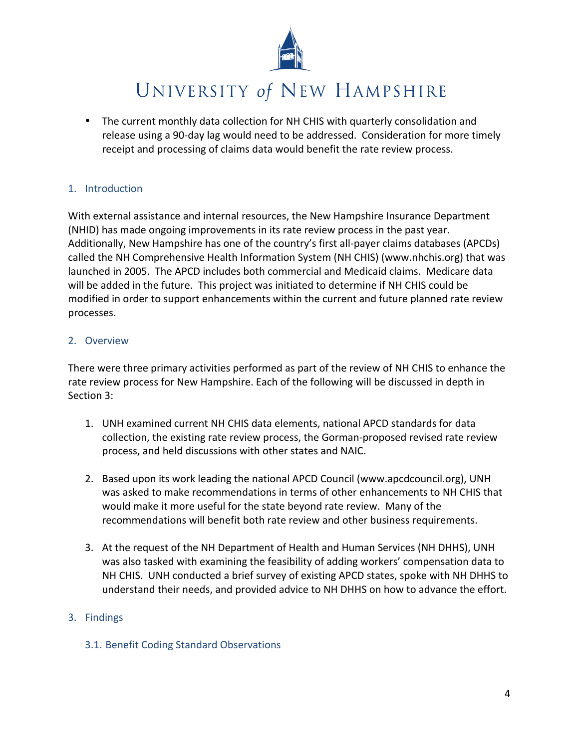

• The current monthly data collection for NH CHIS with quarterly consolidation and release using a 90-day lag would need to be addressed. Consideration for more timely receipt and processing of claims data would benefit the rate review process.

### 1. Introduction

With external assistance and internal resources, the New Hampshire Insurance Department (NHID) has made ongoing improvements in its rate review process in the past year. Additionally, New Hampshire has one of the country's first all-payer claims databases (APCDs) called the NH Comprehensive Health Information System (NH CHIS) (www.nhchis.org) that was launched in 2005. The APCD includes both commercial and Medicaid claims. Medicare data will be added in the future. This project was initiated to determine if NH CHIS could be modified in order to support enhancements within the current and future planned rate review processes.

### 2. Overview

There were three primary activities performed as part of the review of NH CHIS to enhance the rate review process for New Hampshire. Each of the following will be discussed in depth in Section 3:

- 1. UNH examined current NH CHIS data elements, national APCD standards for data collection, the existing rate review process, the Gorman-proposed revised rate review process, and held discussions with other states and NAIC.
- 2. Based upon its work leading the national APCD Council (www.apcdcouncil.org), UNH was asked to make recommendations in terms of other enhancements to NH CHIS that would make it more useful for the state beyond rate review. Many of the recommendations will benefit both rate review and other business requirements.
- 3. At the request of the NH Department of Health and Human Services (NH DHHS), UNH was also tasked with examining the feasibility of adding workers' compensation data to NH CHIS. UNH conducted a brief survey of existing APCD states, spoke with NH DHHS to understand their needs, and provided advice to NH DHHS on how to advance the effort.

### 3. Findings

3.1. Benefit Coding Standard Observations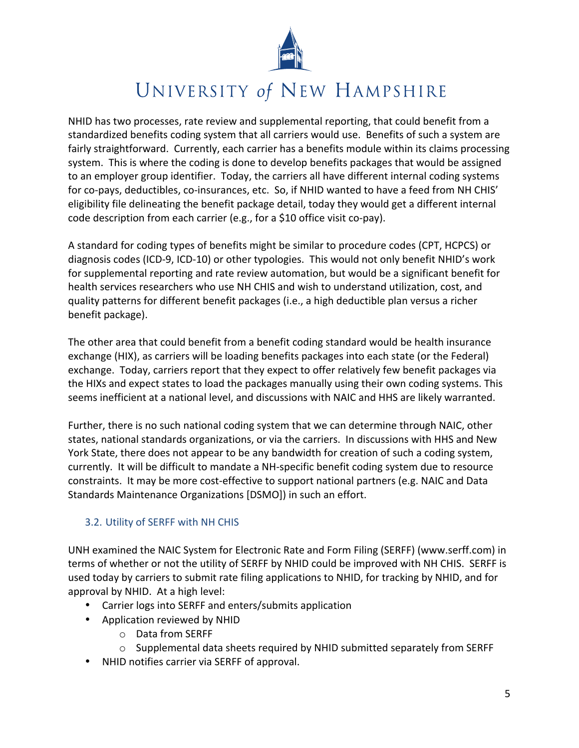

NHID has two processes, rate review and supplemental reporting, that could benefit from a standardized benefits coding system that all carriers would use. Benefits of such a system are fairly straightforward. Currently, each carrier has a benefits module within its claims processing system. This is where the coding is done to develop benefits packages that would be assigned to an employer group identifier. Today, the carriers all have different internal coding systems for co-pays, deductibles, co-insurances, etc. So, if NHID wanted to have a feed from NH CHIS' eligibility file delineating the benefit package detail, today they would get a different internal code description from each carrier (e.g., for a \$10 office visit co-pay).

A standard for coding types of benefits might be similar to procedure codes (CPT, HCPCS) or diagnosis codes (ICD-9, ICD-10) or other typologies. This would not only benefit NHID's work for supplemental reporting and rate review automation, but would be a significant benefit for health services researchers who use NH CHIS and wish to understand utilization, cost, and quality patterns for different benefit packages (i.e., a high deductible plan versus a richer benefit package).

The other area that could benefit from a benefit coding standard would be health insurance exchange (HIX), as carriers will be loading benefits packages into each state (or the Federal) exchange. Today, carriers report that they expect to offer relatively few benefit packages via the HIXs and expect states to load the packages manually using their own coding systems. This seems inefficient at a national level, and discussions with NAIC and HHS are likely warranted.

Further, there is no such national coding system that we can determine through NAIC, other states, national standards organizations, or via the carriers. In discussions with HHS and New York State, there does not appear to be any bandwidth for creation of such a coding system, currently. It will be difficult to mandate a NH-specific benefit coding system due to resource constraints. It may be more cost-effective to support national partners (e.g. NAIC and Data Standards Maintenance Organizations [DSMO]) in such an effort.

## 3.2. Utility of SERFF with NH CHIS

UNH examined the NAIC System for Electronic Rate and Form Filing (SERFF) (www.serff.com) in terms of whether or not the utility of SERFF by NHID could be improved with NH CHIS. SERFF is used today by carriers to submit rate filing applications to NHID, for tracking by NHID, and for approval by NHID. At a high level:

- Carrier logs into SERFF and enters/submits application
- Application reviewed by NHID
	- O Data from SERFF
	- $\circ$  Supplemental data sheets required by NHID submitted separately from SERFF
- NHID notifies carrier via SERFF of approval.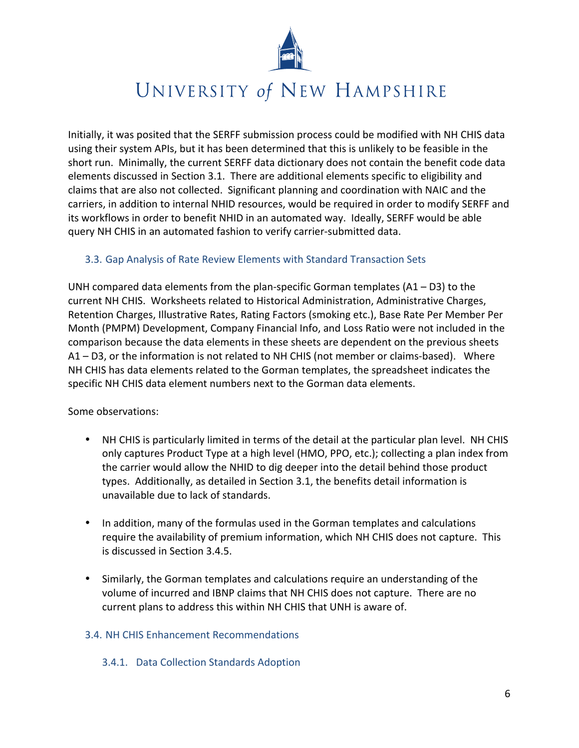

Initially, it was posited that the SERFF submission process could be modified with NH CHIS data using their system APIs, but it has been determined that this is unlikely to be feasible in the short run. Minimally, the current SERFF data dictionary does not contain the benefit code data elements discussed in Section 3.1. There are additional elements specific to eligibility and claims that are also not collected. Significant planning and coordination with NAIC and the carriers, in addition to internal NHID resources, would be required in order to modify SERFF and its workflows in order to benefit NHID in an automated way. Ideally, SERFF would be able query NH CHIS in an automated fashion to verify carrier-submitted data.

### 3.3. Gap Analysis of Rate Review Elements with Standard Transaction Sets

UNH compared data elements from the plan-specific Gorman templates  $(A1 - D3)$  to the current NH CHIS. Worksheets related to Historical Administration, Administrative Charges, Retention Charges, Illustrative Rates, Rating Factors (smoking etc.), Base Rate Per Member Per Month (PMPM) Development, Company Financial Info, and Loss Ratio were not included in the comparison because the data elements in these sheets are dependent on the previous sheets A1 – D3, or the information is not related to NH CHIS (not member or claims-based). Where NH CHIS has data elements related to the Gorman templates, the spreadsheet indicates the specific NH CHIS data element numbers next to the Gorman data elements.

Some observations:

- NH CHIS is particularly limited in terms of the detail at the particular plan level. NH CHIS only captures Product Type at a high level (HMO, PPO, etc.); collecting a plan index from the carrier would allow the NHID to dig deeper into the detail behind those product types. Additionally, as detailed in Section 3.1, the benefits detail information is unavailable due to lack of standards.
- In addition, many of the formulas used in the Gorman templates and calculations require the availability of premium information, which NH CHIS does not capture. This is discussed in Section 3.4.5.
- Similarly, the Gorman templates and calculations require an understanding of the volume of incurred and IBNP claims that NH CHIS does not capture. There are no current plans to address this within NH CHIS that UNH is aware of.

### 3.4. NH CHIS Enhancement Recommendations

### 3.4.1. Data Collection Standards Adoption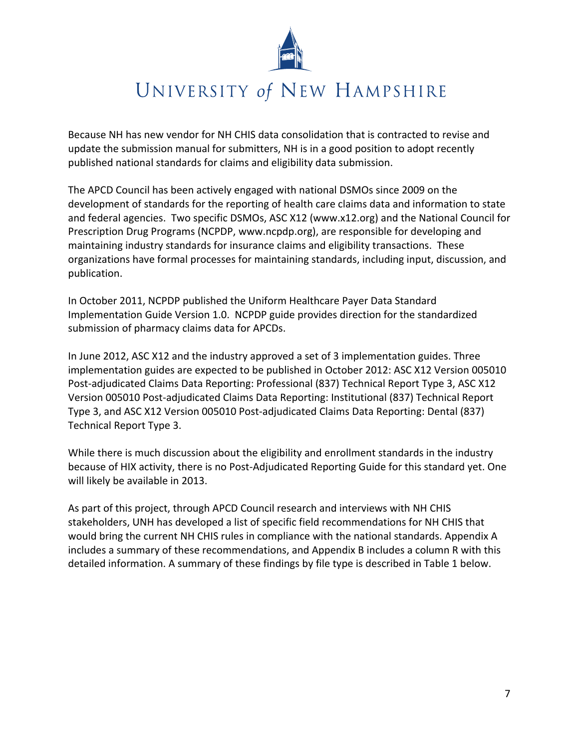

Because NH has new vendor for NH CHIS data consolidation that is contracted to revise and update the submission manual for submitters, NH is in a good position to adopt recently published national standards for claims and eligibility data submission.

The APCD Council has been actively engaged with national DSMOs since 2009 on the development of standards for the reporting of health care claims data and information to state and federal agencies. Two specific DSMOs, ASC X12 (www.x12.org) and the National Council for Prescription Drug Programs (NCPDP, www.ncpdp.org), are responsible for developing and maintaining industry standards for insurance claims and eligibility transactions. These organizations have formal processes for maintaining standards, including input, discussion, and publication.

In October 2011, NCPDP published the Uniform Healthcare Payer Data Standard Implementation Guide Version 1.0. NCPDP guide provides direction for the standardized submission of pharmacy claims data for APCDs.

In June 2012, ASC X12 and the industry approved a set of 3 implementation guides. Three implementation guides are expected to be published in October 2012: ASC X12 Version 005010 Post-adjudicated Claims Data Reporting: Professional (837) Technical Report Type 3, ASC X12 Version 005010 Post-adjudicated Claims Data Reporting: Institutional (837) Technical Report Type 3, and ASC X12 Version 005010 Post-adjudicated Claims Data Reporting: Dental (837) Technical Report Type 3.

While there is much discussion about the eligibility and enrollment standards in the industry because of HIX activity, there is no Post-Adjudicated Reporting Guide for this standard yet. One will likely be available in 2013.

As part of this project, through APCD Council research and interviews with NH CHIS stakeholders, UNH has developed a list of specific field recommendations for NH CHIS that would bring the current NH CHIS rules in compliance with the national standards. Appendix A includes a summary of these recommendations, and Appendix B includes a column R with this detailed information. A summary of these findings by file type is described in Table 1 below.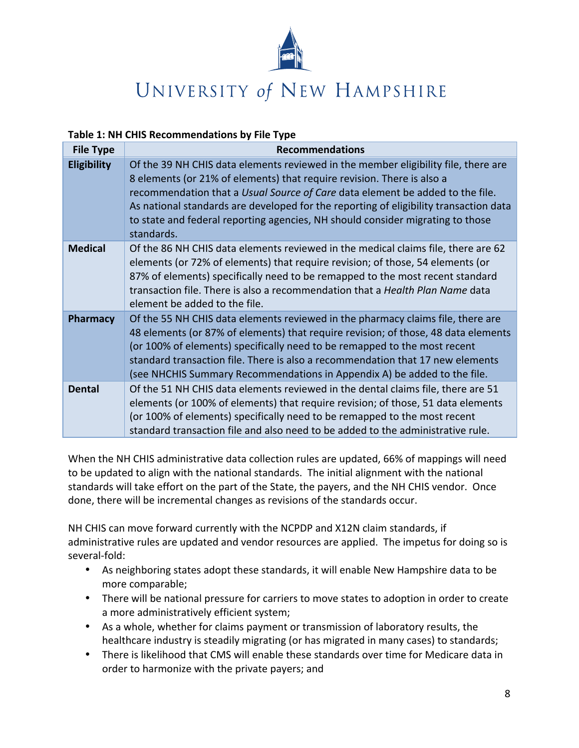

### Table 1: NH CHIS Recommendations by File Type

| <b>File Type</b>   | <b>Recommendations</b>                                                                                                                                                                                                                                                                                                                                                                                                                 |
|--------------------|----------------------------------------------------------------------------------------------------------------------------------------------------------------------------------------------------------------------------------------------------------------------------------------------------------------------------------------------------------------------------------------------------------------------------------------|
| <b>Eligibility</b> | Of the 39 NH CHIS data elements reviewed in the member eligibility file, there are<br>8 elements (or 21% of elements) that require revision. There is also a<br>recommendation that a Usual Source of Care data element be added to the file.<br>As national standards are developed for the reporting of eligibility transaction data<br>to state and federal reporting agencies, NH should consider migrating to those<br>standards. |
| <b>Medical</b>     | Of the 86 NH CHIS data elements reviewed in the medical claims file, there are 62<br>elements (or 72% of elements) that require revision; of those, 54 elements (or<br>87% of elements) specifically need to be remapped to the most recent standard<br>transaction file. There is also a recommendation that a <i>Health Plan Name</i> data<br>element be added to the file.                                                          |
| <b>Pharmacy</b>    | Of the 55 NH CHIS data elements reviewed in the pharmacy claims file, there are<br>48 elements (or 87% of elements) that require revision; of those, 48 data elements<br>(or 100% of elements) specifically need to be remapped to the most recent<br>standard transaction file. There is also a recommendation that 17 new elements<br>(see NHCHIS Summary Recommendations in Appendix A) be added to the file.                       |
| <b>Dental</b>      | Of the 51 NH CHIS data elements reviewed in the dental claims file, there are 51<br>elements (or 100% of elements) that require revision; of those, 51 data elements<br>(or 100% of elements) specifically need to be remapped to the most recent<br>standard transaction file and also need to be added to the administrative rule.                                                                                                   |

When the NH CHIS administrative data collection rules are updated, 66% of mappings will need to be updated to align with the national standards. The initial alignment with the national standards will take effort on the part of the State, the payers, and the NH CHIS vendor. Once done, there will be incremental changes as revisions of the standards occur.

NH CHIS can move forward currently with the NCPDP and X12N claim standards, if administrative rules are updated and vendor resources are applied. The impetus for doing so is several-fold:

- As neighboring states adopt these standards, it will enable New Hampshire data to be more comparable;
- There will be national pressure for carriers to move states to adoption in order to create a more administratively efficient system;
- As a whole, whether for claims payment or transmission of laboratory results, the healthcare industry is steadily migrating (or has migrated in many cases) to standards;
- There is likelihood that CMS will enable these standards over time for Medicare data in order to harmonize with the private payers; and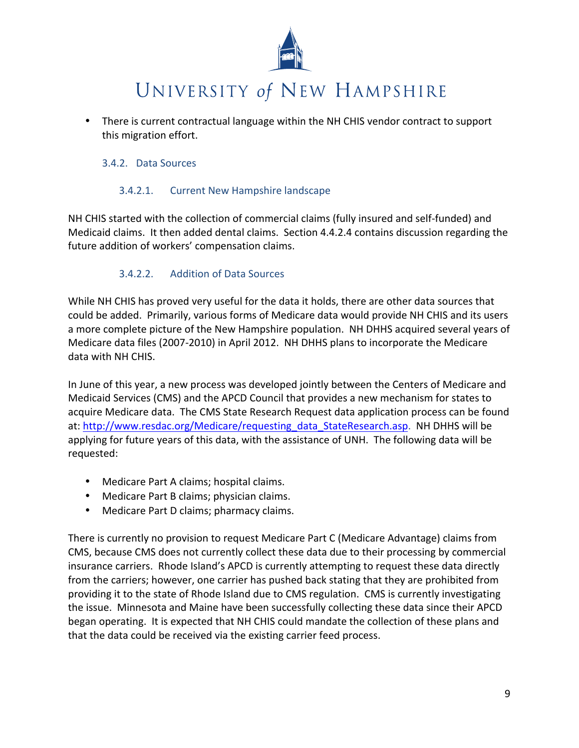

• There is current contractual language within the NH CHIS vendor contract to support this migration effort.

### 3.4.2. Data Sources

#### $3.4.2.1.$ **Current New Hampshire landscape**

NH CHIS started with the collection of commercial claims (fully insured and self-funded) and Medicaid claims. It then added dental claims. Section 4.4.2.4 contains discussion regarding the future addition of workers' compensation claims.

#### $3.4.2.2.$ **Addition of Data Sources**

While NH CHIS has proved very useful for the data it holds, there are other data sources that could be added. Primarily, various forms of Medicare data would provide NH CHIS and its users a more complete picture of the New Hampshire population. NH DHHS acquired several years of Medicare data files (2007-2010) in April 2012. NH DHHS plans to incorporate the Medicare data with NH CHIS.

In June of this year, a new process was developed jointly between the Centers of Medicare and Medicaid Services (CMS) and the APCD Council that provides a new mechanism for states to acquire Medicare data. The CMS State Research Request data application process can be found at: http://www.resdac.org/Medicare/requesting data StateResearch.asp. NH DHHS will be applying for future years of this data, with the assistance of UNH. The following data will be requested:

- Medicare Part A claims; hospital claims.
- Medicare Part B claims; physician claims.
- Medicare Part D claims; pharmacy claims.

There is currently no provision to request Medicare Part C (Medicare Advantage) claims from CMS, because CMS does not currently collect these data due to their processing by commercial insurance carriers. Rhode Island's APCD is currently attempting to request these data directly from the carriers; however, one carrier has pushed back stating that they are prohibited from providing it to the state of Rhode Island due to CMS regulation. CMS is currently investigating the issue. Minnesota and Maine have been successfully collecting these data since their APCD began operating. It is expected that NH CHIS could mandate the collection of these plans and that the data could be received via the existing carrier feed process.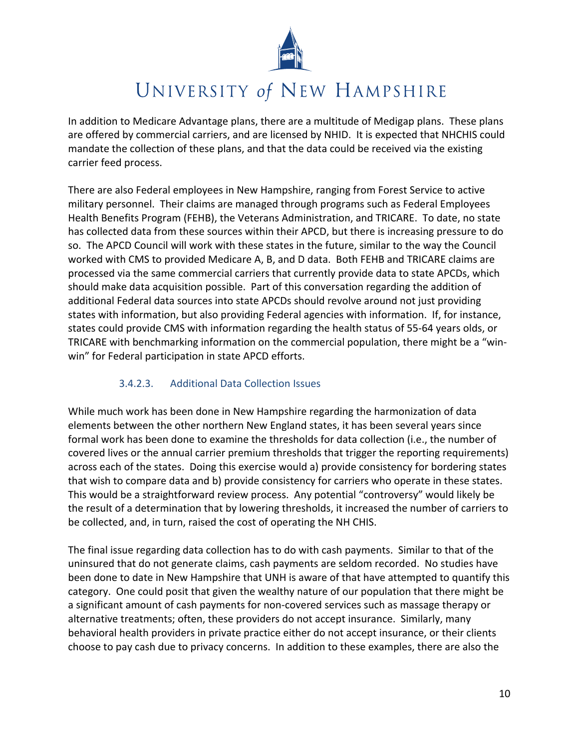

In addition to Medicare Advantage plans, there are a multitude of Medigap plans. These plans are offered by commercial carriers, and are licensed by NHID. It is expected that NHCHIS could mandate the collection of these plans, and that the data could be received via the existing carrier feed process.

There are also Federal employees in New Hampshire, ranging from Forest Service to active military personnel. Their claims are managed through programs such as Federal Employees Health Benefits Program (FEHB), the Veterans Administration, and TRICARE. To date, no state has collected data from these sources within their APCD, but there is increasing pressure to do so. The APCD Council will work with these states in the future, similar to the way the Council worked with CMS to provided Medicare A, B, and D data. Both FEHB and TRICARE claims are processed via the same commercial carriers that currently provide data to state APCDs, which should make data acquisition possible. Part of this conversation regarding the addition of additional Federal data sources into state APCDs should revolve around not just providing states with information, but also providing Federal agencies with information. If, for instance, states could provide CMS with information regarding the health status of 55-64 years olds, or TRICARE with benchmarking information on the commercial population, there might be a "winwin" for Federal participation in state APCD efforts.

#### **Additional Data Collection Issues**  $3.4.2.3.$

While much work has been done in New Hampshire regarding the harmonization of data elements between the other northern New England states, it has been several years since formal work has been done to examine the thresholds for data collection (i.e., the number of covered lives or the annual carrier premium thresholds that trigger the reporting requirements) across each of the states. Doing this exercise would a) provide consistency for bordering states that wish to compare data and b) provide consistency for carriers who operate in these states. This would be a straightforward review process. Any potential "controversy" would likely be the result of a determination that by lowering thresholds, it increased the number of carriers to be collected, and, in turn, raised the cost of operating the NH CHIS.

The final issue regarding data collection has to do with cash payments. Similar to that of the uninsured that do not generate claims, cash payments are seldom recorded. No studies have been done to date in New Hampshire that UNH is aware of that have attempted to quantify this category. One could posit that given the wealthy nature of our population that there might be a significant amount of cash payments for non-covered services such as massage therapy or alternative treatments; often, these providers do not accept insurance. Similarly, many behavioral health providers in private practice either do not accept insurance, or their clients choose to pay cash due to privacy concerns. In addition to these examples, there are also the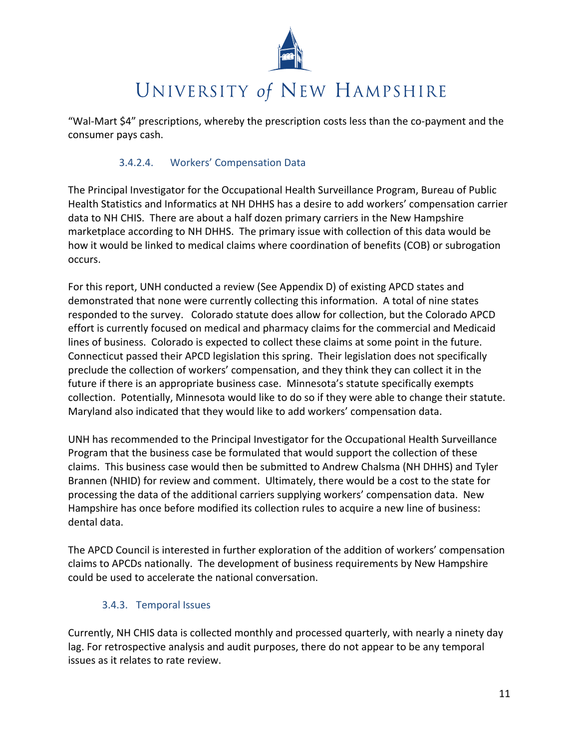

"Wal-Mart \$4" prescriptions, whereby the prescription costs less than the co-payment and the consumer pays cash.

#### $3.4.2.4.$ **Workers' Compensation Data**

The Principal Investigator for the Occupational Health Surveillance Program, Bureau of Public Health Statistics and Informatics at NH DHHS has a desire to add workers' compensation carrier data to NH CHIS. There are about a half dozen primary carriers in the New Hampshire marketplace according to NH DHHS. The primary issue with collection of this data would be how it would be linked to medical claims where coordination of benefits (COB) or subrogation occurs.

For this report, UNH conducted a review (See Appendix D) of existing APCD states and demonstrated that none were currently collecting this information. A total of nine states responded to the survey. Colorado statute does allow for collection, but the Colorado APCD effort is currently focused on medical and pharmacy claims for the commercial and Medicaid lines of business. Colorado is expected to collect these claims at some point in the future. Connecticut passed their APCD legislation this spring. Their legislation does not specifically preclude the collection of workers' compensation, and they think they can collect it in the future if there is an appropriate business case. Minnesota's statute specifically exempts collection. Potentially, Minnesota would like to do so if they were able to change their statute. Maryland also indicated that they would like to add workers' compensation data.

UNH has recommended to the Principal Investigator for the Occupational Health Surveillance Program that the business case be formulated that would support the collection of these claims. This business case would then be submitted to Andrew Chalsma (NH DHHS) and Tyler Brannen (NHID) for review and comment. Ultimately, there would be a cost to the state for processing the data of the additional carriers supplying workers' compensation data. New Hampshire has once before modified its collection rules to acquire a new line of business: dental data.

The APCD Council is interested in further exploration of the addition of workers' compensation claims to APCDs nationally. The development of business requirements by New Hampshire could be used to accelerate the national conversation.

### 3.4.3. Temporal Issues

Currently, NH CHIS data is collected monthly and processed quarterly, with nearly a ninety day lag. For retrospective analysis and audit purposes, there do not appear to be any temporal issues as it relates to rate review.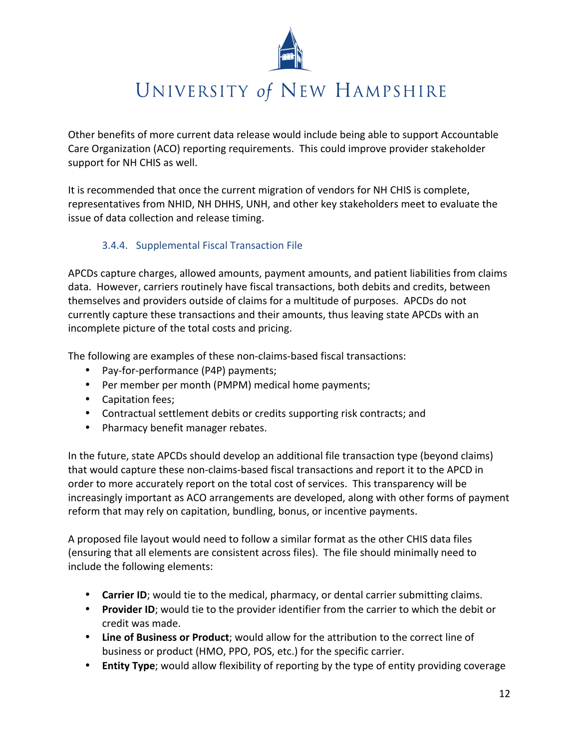

Other benefits of more current data release would include being able to support Accountable Care Organization (ACO) reporting requirements. This could improve provider stakeholder support for NH CHIS as well.

It is recommended that once the current migration of vendors for NH CHIS is complete, representatives from NHID, NH DHHS, UNH, and other key stakeholders meet to evaluate the issue of data collection and release timing.

## 3.4.4. Supplemental Fiscal Transaction File

APCDs capture charges, allowed amounts, payment amounts, and patient liabilities from claims data. However, carriers routinely have fiscal transactions, both debits and credits, between themselves and providers outside of claims for a multitude of purposes. APCDs do not currently capture these transactions and their amounts, thus leaving state APCDs with an incomplete picture of the total costs and pricing.

The following are examples of these non-claims-based fiscal transactions:

- Pay-for-performance (P4P) payments;
- Per member per month (PMPM) medical home payments;
- Capitation fees;
- Contractual settlement debits or credits supporting risk contracts; and
- Pharmacy benefit manager rebates.

In the future, state APCDs should develop an additional file transaction type (beyond claims) that would capture these non-claims-based fiscal transactions and report it to the APCD in order to more accurately report on the total cost of services. This transparency will be increasingly important as ACO arrangements are developed, along with other forms of payment reform that may rely on capitation, bundling, bonus, or incentive payments.

A proposed file layout would need to follow a similar format as the other CHIS data files (ensuring that all elements are consistent across files). The file should minimally need to include the following elements:

- Carrier ID; would tie to the medical, pharmacy, or dental carrier submitting claims.
- Provider ID; would tie to the provider identifier from the carrier to which the debit or credit was made.
- Line of Business or Product; would allow for the attribution to the correct line of business or product (HMO, PPO, POS, etc.) for the specific carrier.
- Entity Type; would allow flexibility of reporting by the type of entity providing coverage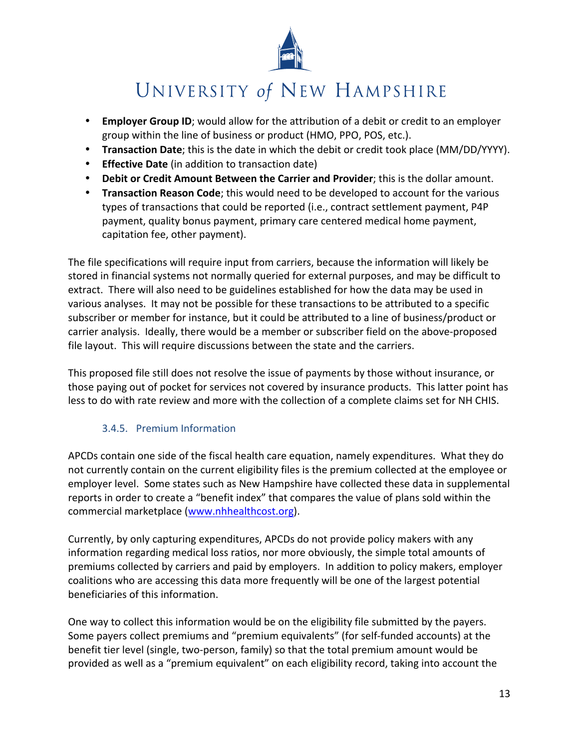

- Employer Group ID; would allow for the attribution of a debit or credit to an employer group within the line of business or product (HMO, PPO, POS, etc.).
- Transaction Date; this is the date in which the debit or credit took place (MM/DD/YYYY).
- **Effective Date** (in addition to transaction date)
- Debit or Credit Amount Between the Carrier and Provider; this is the dollar amount.
- Transaction Reason Code; this would need to be developed to account for the various types of transactions that could be reported (i.e., contract settlement payment, P4P payment, quality bonus payment, primary care centered medical home payment, capitation fee, other payment).

The file specifications will require input from carriers, because the information will likely be stored in financial systems not normally queried for external purposes, and may be difficult to extract. There will also need to be guidelines established for how the data may be used in various analyses. It may not be possible for these transactions to be attributed to a specific subscriber or member for instance, but it could be attributed to a line of business/product or carrier analysis. Ideally, there would be a member or subscriber field on the above-proposed file layout. This will require discussions between the state and the carriers.

This proposed file still does not resolve the issue of payments by those without insurance, or those paying out of pocket for services not covered by insurance products. This latter point has less to do with rate review and more with the collection of a complete claims set for NH CHIS.

## 3.4.5. Premium Information

APCDs contain one side of the fiscal health care equation, namely expenditures. What they do not currently contain on the current eligibility files is the premium collected at the employee or employer level. Some states such as New Hampshire have collected these data in supplemental reports in order to create a "benefit index" that compares the value of plans sold within the commercial marketplace (www.nhhealthcost.org).

Currently, by only capturing expenditures, APCDs do not provide policy makers with any information regarding medical loss ratios, nor more obviously, the simple total amounts of premiums collected by carriers and paid by employers. In addition to policy makers, employer coalitions who are accessing this data more frequently will be one of the largest potential beneficiaries of this information.

One way to collect this information would be on the eligibility file submitted by the payers. Some payers collect premiums and "premium equivalents" (for self-funded accounts) at the benefit tier level (single, two-person, family) so that the total premium amount would be provided as well as a "premium equivalent" on each eligibility record, taking into account the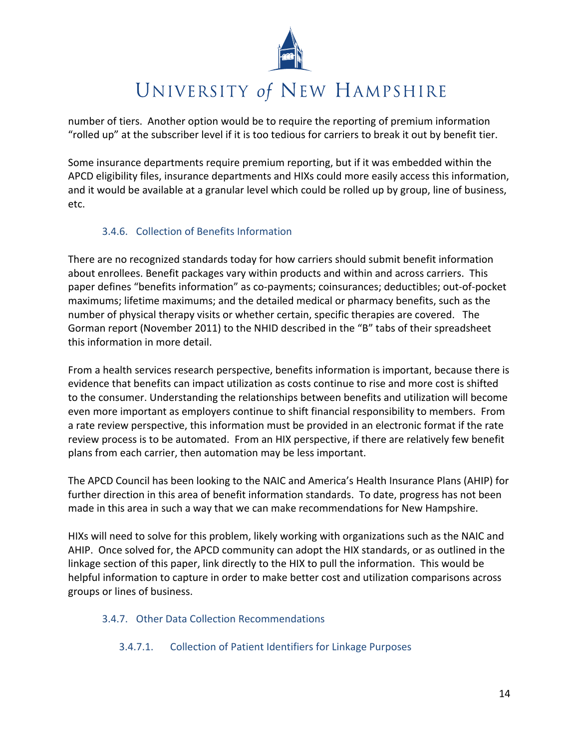

number of tiers. Another option would be to require the reporting of premium information "rolled up" at the subscriber level if it is too tedious for carriers to break it out by benefit tier.

Some insurance departments require premium reporting, but if it was embedded within the APCD eligibility files, insurance departments and HIXs could more easily access this information, and it would be available at a granular level which could be rolled up by group, line of business, etc.

## 3.4.6. Collection of Benefits Information

There are no recognized standards today for how carriers should submit benefit information about enrollees. Benefit packages vary within products and within and across carriers. This paper defines "benefits information" as co-payments; coinsurances; deductibles; out-of-pocket maximums; lifetime maximums; and the detailed medical or pharmacy benefits, such as the number of physical therapy visits or whether certain, specific therapies are covered. The Gorman report (November 2011) to the NHID described in the "B" tabs of their spreadsheet this information in more detail.

From a health services research perspective, benefits information is important, because there is evidence that benefits can impact utilization as costs continue to rise and more cost is shifted to the consumer. Understanding the relationships between benefits and utilization will become even more important as employers continue to shift financial responsibility to members. From a rate review perspective, this information must be provided in an electronic format if the rate review process is to be automated. From an HIX perspective, if there are relatively few benefit plans from each carrier, then automation may be less important.

The APCD Council has been looking to the NAIC and America's Health Insurance Plans (AHIP) for further direction in this area of benefit information standards. To date, progress has not been made in this area in such a way that we can make recommendations for New Hampshire.

HIXs will need to solve for this problem, likely working with organizations such as the NAIC and AHIP. Once solved for, the APCD community can adopt the HIX standards, or as outlined in the linkage section of this paper, link directly to the HIX to pull the information. This would be helpful information to capture in order to make better cost and utilization comparisons across groups or lines of business.

## 3.4.7. Other Data Collection Recommendations

**Collection of Patient Identifiers for Linkage Purposes**  $3.4.7.1$ .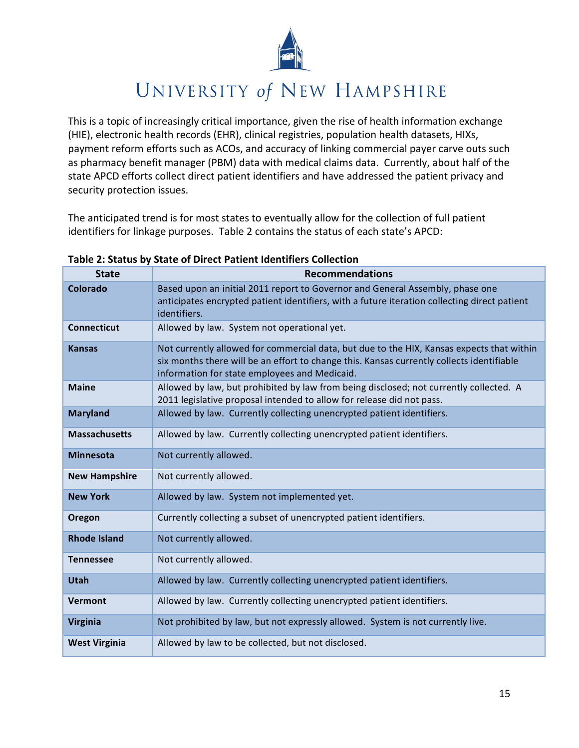

This is a topic of increasingly critical importance, given the rise of health information exchange (HIE), electronic health records (EHR), clinical registries, population health datasets, HIXs, payment reform efforts such as ACOs, and accuracy of linking commercial payer carve outs such as pharmacy benefit manager (PBM) data with medical claims data. Currently, about half of the state APCD efforts collect direct patient identifiers and have addressed the patient privacy and security protection issues.

The anticipated trend is for most states to eventually allow for the collection of full patient identifiers for linkage purposes. Table 2 contains the status of each state's APCD:

| <b>State</b>         | <b>Recommendations</b>                                                                                                                                                                                                                  |
|----------------------|-----------------------------------------------------------------------------------------------------------------------------------------------------------------------------------------------------------------------------------------|
| <b>Colorado</b>      | Based upon an initial 2011 report to Governor and General Assembly, phase one<br>anticipates encrypted patient identifiers, with a future iteration collecting direct patient<br>identifiers.                                           |
| <b>Connecticut</b>   | Allowed by law. System not operational yet.                                                                                                                                                                                             |
| <b>Kansas</b>        | Not currently allowed for commercial data, but due to the HIX, Kansas expects that within<br>six months there will be an effort to change this. Kansas currently collects identifiable<br>information for state employees and Medicaid. |
| <b>Maine</b>         | Allowed by law, but prohibited by law from being disclosed; not currently collected. A<br>2011 legislative proposal intended to allow for release did not pass.                                                                         |
| <b>Maryland</b>      | Allowed by law. Currently collecting unencrypted patient identifiers.                                                                                                                                                                   |
| <b>Massachusetts</b> | Allowed by law. Currently collecting unencrypted patient identifiers.                                                                                                                                                                   |
| <b>Minnesota</b>     | Not currently allowed.                                                                                                                                                                                                                  |
| <b>New Hampshire</b> | Not currently allowed.                                                                                                                                                                                                                  |
| <b>New York</b>      | Allowed by law. System not implemented yet.                                                                                                                                                                                             |
| Oregon               | Currently collecting a subset of unencrypted patient identifiers.                                                                                                                                                                       |
| <b>Rhode Island</b>  | Not currently allowed.                                                                                                                                                                                                                  |
| <b>Tennessee</b>     | Not currently allowed.                                                                                                                                                                                                                  |
| <b>Utah</b>          | Allowed by law. Currently collecting unencrypted patient identifiers.                                                                                                                                                                   |
| Vermont              | Allowed by law. Currently collecting unencrypted patient identifiers.                                                                                                                                                                   |
| <b>Virginia</b>      | Not prohibited by law, but not expressly allowed. System is not currently live.                                                                                                                                                         |
| <b>West Virginia</b> | Allowed by law to be collected, but not disclosed.                                                                                                                                                                                      |

### Table 2: Status by State of Direct Patient Identifiers Collection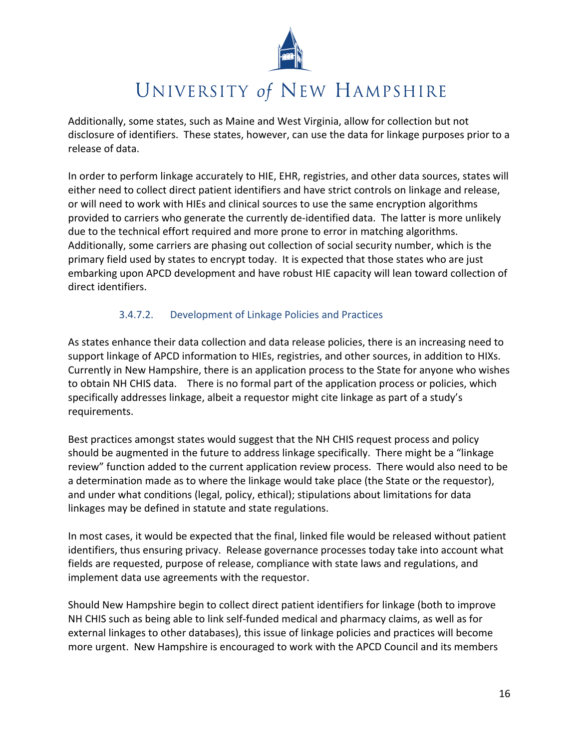

Additionally, some states, such as Maine and West Virginia, allow for collection but not disclosure of identifiers. These states, however, can use the data for linkage purposes prior to a release of data.

In order to perform linkage accurately to HIE, EHR, registries, and other data sources, states will either need to collect direct patient identifiers and have strict controls on linkage and release, or will need to work with HIEs and clinical sources to use the same encryption algorithms provided to carriers who generate the currently de-identified data. The latter is more unlikely due to the technical effort required and more prone to error in matching algorithms. Additionally, some carriers are phasing out collection of social security number, which is the primary field used by states to encrypt today. It is expected that those states who are just embarking upon APCD development and have robust HIE capacity will lean toward collection of direct identifiers.

#### $3.4.7.2$ Development of Linkage Policies and Practices

As states enhance their data collection and data release policies, there is an increasing need to support linkage of APCD information to HIEs, registries, and other sources, in addition to HIXs. Currently in New Hampshire, there is an application process to the State for anyone who wishes to obtain NH CHIS data. There is no formal part of the application process or policies, which specifically addresses linkage, albeit a requestor might cite linkage as part of a study's requirements.

Best practices amongst states would suggest that the NH CHIS request process and policy should be augmented in the future to address linkage specifically. There might be a "linkage" review" function added to the current application review process. There would also need to be a determination made as to where the linkage would take place (the State or the requestor), and under what conditions (legal, policy, ethical); stipulations about limitations for data linkages may be defined in statute and state regulations.

In most cases, it would be expected that the final, linked file would be released without patient identifiers, thus ensuring privacy. Release governance processes today take into account what fields are requested, purpose of release, compliance with state laws and regulations, and implement data use agreements with the requestor.

Should New Hampshire begin to collect direct patient identifiers for linkage (both to improve NH CHIS such as being able to link self-funded medical and pharmacy claims, as well as for external linkages to other databases), this issue of linkage policies and practices will become more urgent. New Hampshire is encouraged to work with the APCD Council and its members